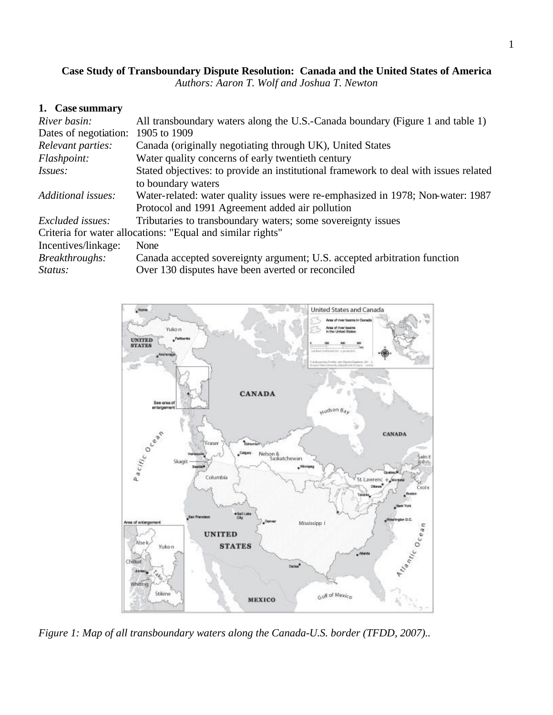# **Case Study of Transboundary Dispute Resolution: Canada and the United States of America**

*Authors: Aaron T. Wolf and Joshua T. Newton*

## **1. Case summary**

| River basin:                       | All transboundary waters along the U.S.-Canada boundary (Figure 1 and table 1)       |  |  |  |  |
|------------------------------------|--------------------------------------------------------------------------------------|--|--|--|--|
| Dates of negotiation: 1905 to 1909 |                                                                                      |  |  |  |  |
| Relevant parties:                  | Canada (originally negotiating through UK), United States                            |  |  |  |  |
| Flashpoint:                        | Water quality concerns of early twentieth century                                    |  |  |  |  |
| Issues:                            | Stated objectives: to provide an institutional framework to deal with issues related |  |  |  |  |
|                                    | to boundary waters                                                                   |  |  |  |  |
| Additional issues:                 | Water-related: water quality issues were re-emphasized in 1978; Non-water: 1987      |  |  |  |  |
|                                    | Protocol and 1991 Agreement added air pollution                                      |  |  |  |  |
| Excluded issues:                   | Tributaries to transboundary waters; some sovereignty issues                         |  |  |  |  |
|                                    | Criteria for water allocations: "Equal and similar rights"                           |  |  |  |  |
| Incentives/linkage:                | None                                                                                 |  |  |  |  |
| Breakthroughs:                     | Canada accepted sovereignty argument; U.S. accepted arbitration function             |  |  |  |  |
| Status:                            | Over 130 disputes have been averted or reconciled                                    |  |  |  |  |
|                                    |                                                                                      |  |  |  |  |



*Figure 1: Map of all transboundary waters along the Canada-U.S. border (TFDD, 2007)..*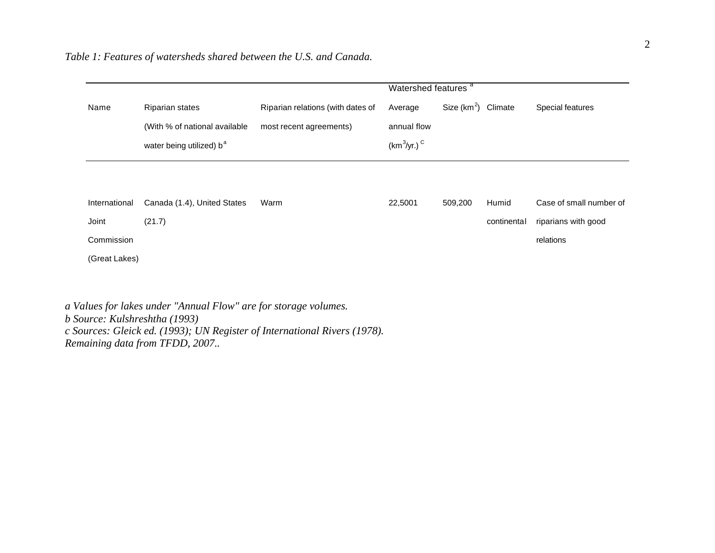|               |                                      |                                   | Watershed features <sup>a</sup>     |                       |             |                         |
|---------------|--------------------------------------|-----------------------------------|-------------------------------------|-----------------------|-------------|-------------------------|
| Name          | <b>Riparian states</b>               | Riparian relations (with dates of | Average                             | Size $(km^2)$ Climate |             | Special features        |
|               | (With % of national available        | most recent agreements)           | annual flow                         |                       |             |                         |
|               | water being utilized) b <sup>a</sup> |                                   | (km <sup>3</sup> /yr.) <sup>C</sup> |                       |             |                         |
|               |                                      |                                   |                                     |                       |             |                         |
| International | Canada (1.4), United States          | Warm                              | 22,5001                             | 509,200               | Humid       | Case of small number of |
| Joint         | (21.7)                               |                                   |                                     |                       | continental | riparians with good     |
| Commission    |                                      |                                   |                                     |                       |             | relations               |
| (Great Lakes) |                                      |                                   |                                     |                       |             |                         |
|               |                                      |                                   |                                     |                       |             |                         |

*a Values for lakes under "Annual Flow" are for storage volumes. b Source: Kulshreshtha (1993) c Sources: Gleick ed. (1993); UN Register of International Rivers (1978). Remaining data from TFDD, 2007..*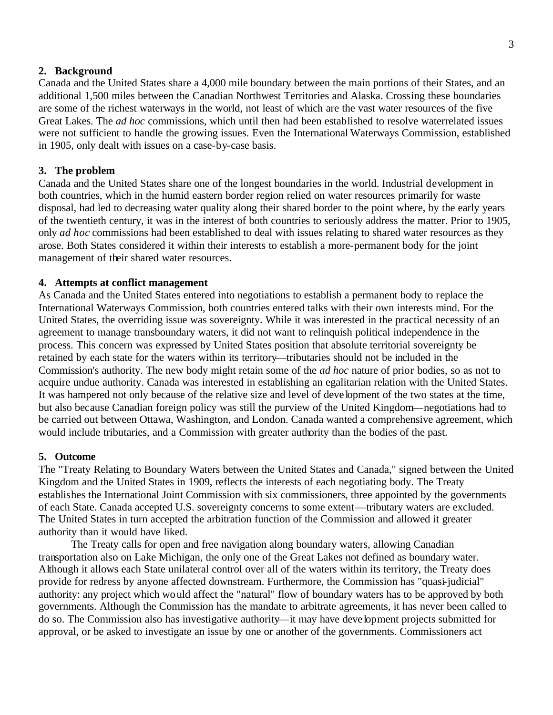#### **2. Background**

Canada and the United States share a 4,000 mile boundary between the main portions of their States, and an additional 1,500 miles between the Canadian Northwest Territories and Alaska. Crossing these boundaries are some of the richest waterways in the world, not least of which are the vast water resources of the five Great Lakes. The *ad hoc* commissions, which until then had been established to resolve waterrelated issues were not sufficient to handle the growing issues. Even the International Waterways Commission, established in 1905, only dealt with issues on a case-by-case basis.

#### **3. The problem**

Canada and the United States share one of the longest boundaries in the world. Industrial development in both countries, which in the humid eastern border region relied on water resources primarily for waste disposal, had led to decreasing water quality along their shared border to the point where, by the early years of the twentieth century, it was in the interest of both countries to seriously address the matter. Prior to 1905, only *ad hoc* commissions had been established to deal with issues relating to shared water resources as they arose. Both States considered it within their interests to establish a more-permanent body for the joint management of their shared water resources.

#### **4. Attempts at conflict management**

As Canada and the United States entered into negotiations to establish a permanent body to replace the International Waterways Commission, both countries entered talks with their own interests mind. For the United States, the overriding issue was sovereignty. While it was interested in the practical necessity of an agreement to manage transboundary waters, it did not want to relinquish political independence in the process. This concern was expressed by United States position that absolute territorial sovereignty be retained by each state for the waters within its territory—tributaries should not be included in the Commission's authority. The new body might retain some of the *ad hoc* nature of prior bodies, so as not to acquire undue authority. Canada was interested in establishing an egalitarian relation with the United States. It was hampered not only because of the relative size and level of deve lopment of the two states at the time, but also because Canadian foreign policy was still the purview of the United Kingdom—negotiations had to be carried out between Ottawa, Washington, and London. Canada wanted a comprehensive agreement, which would include tributaries, and a Commission with greater authority than the bodies of the past.

#### **5. Outcome**

The "Treaty Relating to Boundary Waters between the United States and Canada," signed between the United Kingdom and the United States in 1909, reflects the interests of each negotiating body. The Treaty establishes the International Joint Commission with six commissioners, three appointed by the governments of each State. Canada accepted U.S. sovereignty concerns to some extent—tributary waters are excluded. The United States in turn accepted the arbitration function of the Commission and allowed it greater authority than it would have liked.

The Treaty calls for open and free navigation along boundary waters, allowing Canadian transportation also on Lake Michigan, the only one of the Great Lakes not defined as boundary water. Although it allows each State unilateral control over all of the waters within its territory, the Treaty does provide for redress by anyone affected downstream. Furthermore, the Commission has "quasi-judicial" authority: any project which would affect the "natural" flow of boundary waters has to be approved by both governments. Although the Commission has the mandate to arbitrate agreements, it has never been called to do so. The Commission also has investigative authority—it may have development projects submitted for approval, or be asked to investigate an issue by one or another of the governments. Commissioners act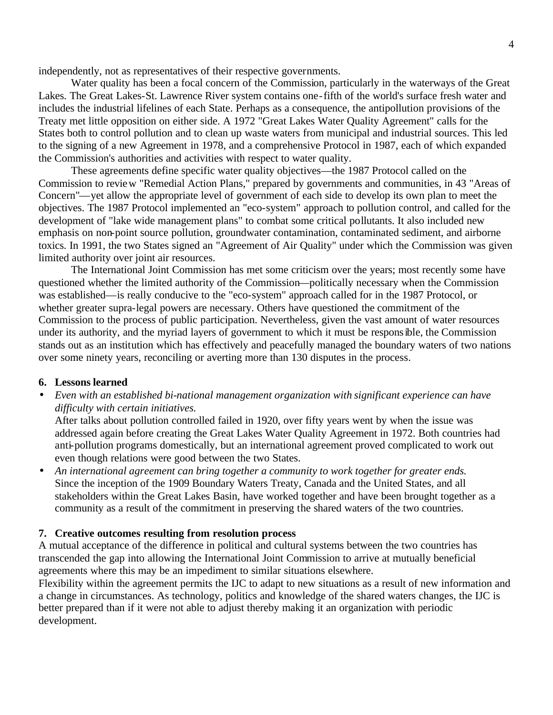independently, not as representatives of their respective governments.

Water quality has been a focal concern of the Commission, particularly in the waterways of the Great Lakes. The Great Lakes-St. Lawrence River system contains one-fifth of the world's surface fresh water and includes the industrial lifelines of each State. Perhaps as a consequence, the antipollution provisions of the Treaty met little opposition on either side. A 1972 "Great Lakes Water Quality Agreement" calls for the States both to control pollution and to clean up waste waters from municipal and industrial sources. This led to the signing of a new Agreement in 1978, and a comprehensive Protocol in 1987, each of which expanded the Commission's authorities and activities with respect to water quality.

These agreements define specific water quality objectives—the 1987 Protocol called on the Commission to review "Remedial Action Plans," prepared by governments and communities, in 43 "Areas of Concern"—yet allow the appropriate level of government of each side to develop its own plan to meet the objectives. The 1987 Protocol implemented an "eco-system" approach to pollution control, and called for the development of "lake wide management plans" to combat some critical pollutants. It also included new emphasis on non-point source pollution, groundwater contamination, contaminated sediment, and airborne toxics. In 1991, the two States signed an "Agreement of Air Quality" under which the Commission was given limited authority over joint air resources.

The International Joint Commission has met some criticism over the years; most recently some have questioned whether the limited authority of the Commission—politically necessary when the Commission was established—is really conducive to the "eco-system" approach called for in the 1987 Protocol, or whether greater supra-legal powers are necessary. Others have questioned the commitment of the Commission to the process of public participation. Nevertheless, given the vast amount of water resources under its authority, and the myriad layers of government to which it must be responsible, the Commission stands out as an institution which has effectively and peacefully managed the boundary waters of two nations over some ninety years, reconciling or averting more than 130 disputes in the process.

#### **6. Lessons learned**

• *Even with an established bi-national management organization with significant experience can have difficulty with certain initiatives.*

After talks about pollution controlled failed in 1920, over fifty years went by when the issue was addressed again before creating the Great Lakes Water Quality Agreement in 1972. Both countries had anti-pollution programs domestically, but an international agreement proved complicated to work out even though relations were good between the two States.

• *An international agreement can bring together a community to work together for greater ends.*  Since the inception of the 1909 Boundary Waters Treaty, Canada and the United States, and all stakeholders within the Great Lakes Basin, have worked together and have been brought together as a community as a result of the commitment in preserving the shared waters of the two countries.

#### **7. Creative outcomes resulting from resolution process**

A mutual acceptance of the difference in political and cultural systems between the two countries has transcended the gap into allowing the International Joint Commission to arrive at mutually beneficial agreements where this may be an impediment to similar situations elsewhere.

Flexibility within the agreement permits the IJC to adapt to new situations as a result of new information and a change in circumstances. As technology, politics and knowledge of the shared waters changes, the IJC is better prepared than if it were not able to adjust thereby making it an organization with periodic development.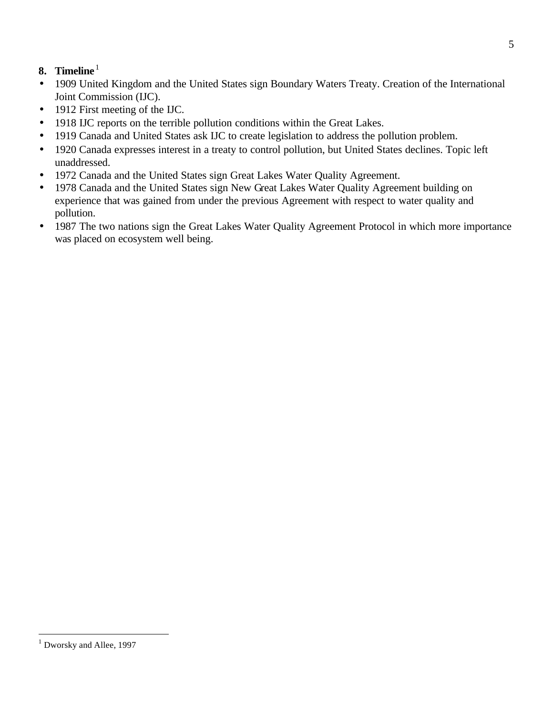# **8. Timeline** <sup>1</sup>

- 1909 United Kingdom and the United States sign Boundary Waters Treaty. Creation of the International Joint Commission (IJC).
- 1912 First meeting of the IJC.
- 1918 IJC reports on the terrible pollution conditions within the Great Lakes.
- 1919 Canada and United States ask IJC to create legislation to address the pollution problem.
- 1920 Canada expresses interest in a treaty to control pollution, but United States declines. Topic left unaddressed.
- 1972 Canada and the United States sign Great Lakes Water Quality Agreement.
- 1978 Canada and the United States sign New Great Lakes Water Quality Agreement building on experience that was gained from under the previous Agreement with respect to water quality and pollution.
- 1987 The two nations sign the Great Lakes Water Quality Agreement Protocol in which more importance was placed on ecosystem well being.

 $\overline{a}$ 

<sup>&</sup>lt;sup>1</sup> Dworsky and Allee, 1997